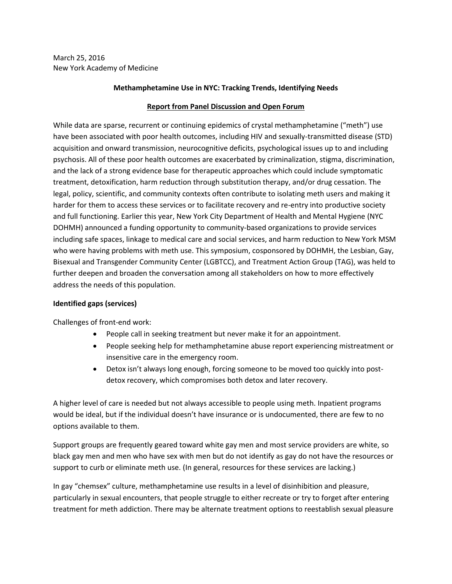March 25, 2016 New York Academy of Medicine

#### **Methamphetamine Use in NYC: Tracking Trends, Identifying Needs**

### **Report from Panel Discussion and Open Forum**

While data are sparse, recurrent or continuing epidemics of crystal methamphetamine ("meth") use have been associated with poor health outcomes, including HIV and sexually-transmitted disease (STD) acquisition and onward transmission, neurocognitive deficits, psychological issues up to and including psychosis. All of these poor health outcomes are exacerbated by criminalization, stigma, discrimination, and the lack of a strong evidence base for therapeutic approaches which could include symptomatic treatment, detoxification, harm reduction through substitution therapy, and/or drug cessation. The legal, policy, scientific, and community contexts often contribute to isolating meth users and making it harder for them to access these services or to facilitate recovery and re-entry into productive society and full functioning. Earlier this year, New York City Department of Health and Mental Hygiene (NYC DOHMH) announced a funding opportunity to community-based organizations to provide services including safe spaces, linkage to medical care and social services, and harm reduction to New York MSM who were having problems with meth use. This symposium, cosponsored by DOHMH, the Lesbian, Gay, Bisexual and Transgender Community Center (LGBTCC), and Treatment Action Group (TAG), was held to further deepen and broaden the conversation among all stakeholders on how to more effectively address the needs of this population.

### **Identified gaps (services)**

Challenges of front-end work:

- People call in seeking treatment but never make it for an appointment.
- People seeking help for methamphetamine abuse report experiencing mistreatment or insensitive care in the emergency room.
- Detox isn't always long enough, forcing someone to be moved too quickly into postdetox recovery, which compromises both detox and later recovery.

A higher level of care is needed but not always accessible to people using meth. Inpatient programs would be ideal, but if the individual doesn't have insurance or is undocumented, there are few to no options available to them.

Support groups are frequently geared toward white gay men and most service providers are white, so black gay men and men who have sex with men but do not identify as gay do not have the resources or support to curb or eliminate meth use. (In general, resources for these services are lacking.)

In gay "chemsex" culture, methamphetamine use results in a level of disinhibition and pleasure, particularly in sexual encounters, that people struggle to either recreate or try to forget after entering treatment for meth addiction. There may be alternate treatment options to reestablish sexual pleasure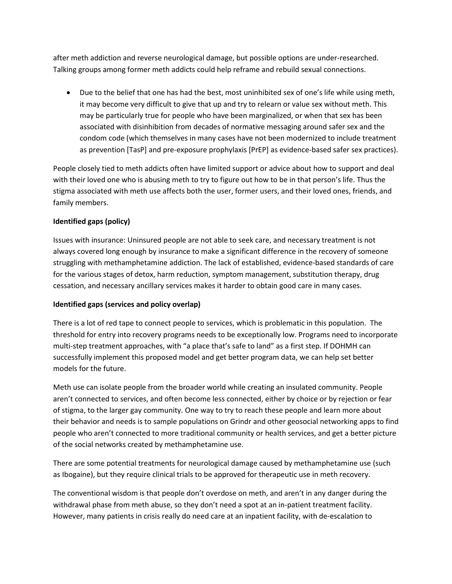after meth addiction and reverse neurological damage, but possible options are under-researched. Talking groups among former meth addicts could help reframe and rebuild sexual connections.

 Due to the belief that one has had the best, most uninhibited sex of one's life while using meth, it may become very difficult to give that up and try to relearn or value sex without meth. This may be particularly true for people who have been marginalized, or when that sex has been associated with disinhibition from decades of normative messaging around safer sex and the condom code (which themselves in many cases have not been modernized to include treatment as prevention [TasP] and pre-exposure prophylaxis [PrEP] as evidence-based safer sex practices).

People closely tied to meth addicts often have limited support or advice about how to support and deal with their loved one who is abusing meth to try to figure out how to be in that person's life. Thus the stigma associated with meth use affects both the user, former users, and their loved ones, friends, and family members.

# **Identified gaps (policy)**

Issues with insurance: Uninsured people are not able to seek care, and necessary treatment is not always covered long enough by insurance to make a significant difference in the recovery of someone struggling with methamphetamine addiction. The lack of established, evidence-based standards of care for the various stages of detox, harm reduction, symptom management, substitution therapy, drug cessation, and necessary ancillary services makes it harder to obtain good care in many cases.

# **Identified gaps (services and policy overlap)**

There is a lot of red tape to connect people to services, which is problematic in this population. The threshold for entry into recovery programs needs to be exceptionally low. Programs need to incorporate multi-step treatment approaches, with "a place that's safe to land" as a first step. If DOHMH can successfully implement this proposed model and get better program data, we can help set better models for the future.

Meth use can isolate people from the broader world while creating an insulated community. People aren't connected to services, and often become less connected, either by choice or by rejection or fear of stigma, to the larger gay community. One way to try to reach these people and learn more about their behavior and needs is to sample populations on Grindr and other geosocial networking apps to find people who aren't connected to more traditional community or health services, and get a better picture of the social networks created by methamphetamine use.

There are some potential treatments for neurological damage caused by methamphetamine use (such as Ibogaine), but they require clinical trials to be approved for therapeutic use in meth recovery.

The conventional wisdom is that people don't overdose on meth, and aren't in any danger during the withdrawal phase from meth abuse, so they don't need a spot at an in-patient treatment facility. However, many patients in crisis really do need care at an inpatient facility, with de-escalation to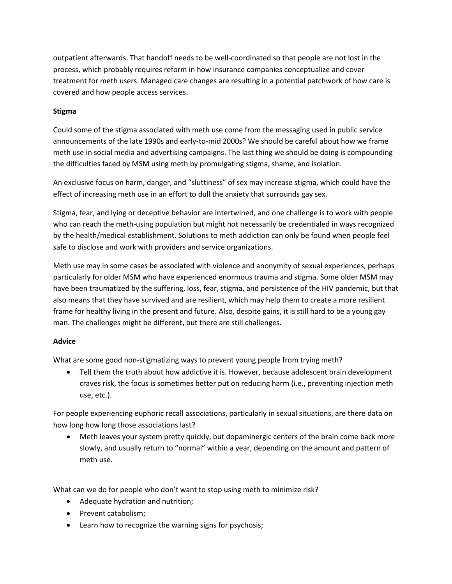outpatient afterwards. That handoff needs to be well-coordinated so that people are not lost in the process, which probably requires reform in how insurance companies conceptualize and cover treatment for meth users. Managed care changes are resulting in a potential patchwork of how care is covered and how people access services.

### **Stigma**

Could some of the stigma associated with meth use come from the messaging used in public service announcements of the late 1990s and early-to-mid 2000s? We should be careful about how we frame meth use in social media and advertising campaigns. The last thing we should be doing is compounding the difficulties faced by MSM using meth by promulgating stigma, shame, and isolation.

An exclusive focus on harm, danger, and "sluttiness" of sex may increase stigma, which could have the effect of increasing meth use in an effort to dull the anxiety that surrounds gay sex.

Stigma, fear, and lying or deceptive behavior are intertwined, and one challenge is to work with people who can reach the meth-using population but might not necessarily be credentialed in ways recognized by the health/medical establishment. Solutions to meth addiction can only be found when people feel safe to disclose and work with providers and service organizations.

Meth use may in some cases be associated with violence and anonymity of sexual experiences, perhaps particularly for older MSM who have experienced enormous trauma and stigma. Some older MSM may have been traumatized by the suffering, loss, fear, stigma, and persistence of the HIV pandemic, but that also means that they have survived and are resilient, which may help them to create a more resilient frame for healthy living in the present and future. Also, despite gains, it is still hard to be a young gay man. The challenges might be different, but there are still challenges.

# **Advice**

What are some good non-stigmatizing ways to prevent young people from trying meth?

• Tell them the truth about how addictive it is. However, because adolescent brain development craves risk, the focus is sometimes better put on reducing harm (i.e., preventing injection meth use, etc.).

For people experiencing euphoric recall associations, particularly in sexual situations, are there data on how long how long those associations last?

 Meth leaves your system pretty quickly, but dopaminergic centers of the brain come back more slowly, and usually return to "normal" within a year, depending on the amount and pattern of meth use.

What can we do for people who don't want to stop using meth to minimize risk?

- Adequate hydration and nutrition;
- Prevent catabolism;
- Learn how to recognize the warning signs for psychosis;